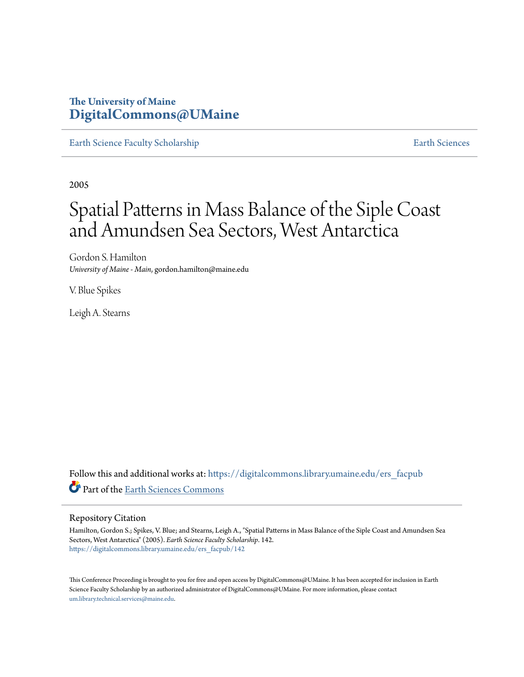# **The University of Maine [DigitalCommons@UMaine](https://digitalcommons.library.umaine.edu?utm_source=digitalcommons.library.umaine.edu%2Fers_facpub%2F142&utm_medium=PDF&utm_campaign=PDFCoverPages)**

[Earth Science Faculty Scholarship](https://digitalcommons.library.umaine.edu/ers_facpub?utm_source=digitalcommons.library.umaine.edu%2Fers_facpub%2F142&utm_medium=PDF&utm_campaign=PDFCoverPages) **[Earth Sciences](https://digitalcommons.library.umaine.edu/ers?utm_source=digitalcommons.library.umaine.edu%2Fers_facpub%2F142&utm_medium=PDF&utm_campaign=PDFCoverPages)** 

2005

# Spatial Patterns in Mass Balance of the Siple Coast and Amundsen Sea Sectors, West Antarctica

Gordon S. Hamilton *University of Maine - Main*, gordon.hamilton@maine.edu

V. Blue Spikes

Leigh A. Stearns

Follow this and additional works at: [https://digitalcommons.library.umaine.edu/ers\\_facpub](https://digitalcommons.library.umaine.edu/ers_facpub?utm_source=digitalcommons.library.umaine.edu%2Fers_facpub%2F142&utm_medium=PDF&utm_campaign=PDFCoverPages) Part of the [Earth Sciences Commons](http://network.bepress.com/hgg/discipline/153?utm_source=digitalcommons.library.umaine.edu%2Fers_facpub%2F142&utm_medium=PDF&utm_campaign=PDFCoverPages)

# Repository Citation

Hamilton, Gordon S.; Spikes, V. Blue; and Stearns, Leigh A., "Spatial Patterns in Mass Balance of the Siple Coast and Amundsen Sea Sectors, West Antarctica" (2005). *Earth Science Faculty Scholarship*. 142. [https://digitalcommons.library.umaine.edu/ers\\_facpub/142](https://digitalcommons.library.umaine.edu/ers_facpub/142?utm_source=digitalcommons.library.umaine.edu%2Fers_facpub%2F142&utm_medium=PDF&utm_campaign=PDFCoverPages)

This Conference Proceeding is brought to you for free and open access by DigitalCommons@UMaine. It has been accepted for inclusion in Earth Science Faculty Scholarship by an authorized administrator of DigitalCommons@UMaine. For more information, please contact [um.library.technical.services@maine.edu](mailto:um.library.technical.services@maine.edu).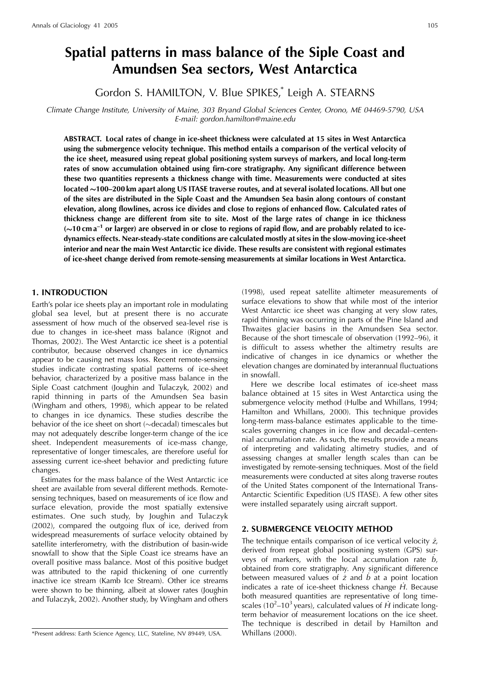# Spatial patterns in mass balance of the Siple Coast and Amundsen Sea sectors. West Antarctica

Gordon S. HAMILTON, V. Blue SPIKES,\* Leigh A. STEARNS

Climate Change Institute, University of Maine, 303 Bryand Global Sciences Center, Orono, ME 04469-5790, USA E-mail: gordon.hamilton@maine.edu

ABSTRACT. Local rates of change in ice-sheet thickness were calculated at 15 sites in West Antarctica using the submergence velocity technique. This method entails a comparison of the vertical velocity of the ice sheet, measured using repeat global positioning system surveys of markers, and local long-term rates of snow accumulation obtained using firn-core stratigraphy. Any significant difference between these two quantities represents a thickness change with time. Measurements were conducted at sites located ~100-200 km apart along US ITASE traverse routes, and at several isolated locations. All but one of the sites are distributed in the Siple Coast and the Amundsen Sea basin along contours of constant elevation, along flowlines, across ice divides and close to regions of enhanced flow. Calculated rates of thickness change are different from site to site. Most of the large rates of change in ice thickness  $(\sim 10 \text{ cm a}^{-1})$  or larger) are observed in or close to regions of rapid flow, and are probably related to icedynamics effects. Near-steady-state conditions are calculated mostly at sites in the slow-moving ice-sheet interior and near the main West Antarctic ice divide. These results are consistent with regional estimates of ice-sheet change derived from remote-sensing measurements at similar locations in West Antarctica.

# **1. INTRODUCTION**

Earth's polar ice sheets play an important role in modulating global sea level, but at present there is no accurate assessment of how much of the observed sea-level rise is due to changes in ice-sheet mass balance (Rignot and Thomas, 2002). The West Antarctic ice sheet is a potential contributor, because observed changes in ice dynamics appear to be causing net mass loss. Recent remote-sensing studies indicate contrasting spatial patterns of ice-sheet behavior, characterized by a positive mass balance in the Siple Coast catchment (Joughin and Tulaczyk, 2002) and rapid thinning in parts of the Amundsen Sea basin (Wingham and others, 1998), which appear to be related to changes in ice dynamics. These studies describe the behavior of the ice sheet on short (~decadal) timescales but may not adequately describe longer-term change of the ice sheet. Independent measurements of ice-mass change, representative of longer timescales, are therefore useful for assessing current ice-sheet behavior and predicting future changes.

Estimates for the mass balance of the West Antarctic ice sheet are available from several different methods. Remotesensing techniques, based on measurements of ice flow and surface elevation, provide the most spatially extensive estimates. One such study, by Joughin and Tulaczyk (2002), compared the outgoing flux of ice, derived from widespread measurements of surface velocity obtained by satellite interferometry, with the distribution of basin-wide snowfall to show that the Siple Coast ice streams have an overall positive mass balance. Most of this positive budget was attributed to the rapid thickening of one currently inactive ice stream (Kamb Ice Stream). Other ice streams were shown to be thinning, albeit at slower rates (Joughin and Tulaczyk, 2002). Another study, by Wingham and others

\*Present address: Earth Science Agency, LLC, Stateline, NV 89449, USA.

(1998), used repeat satellite altimeter measurements of surface elevations to show that while most of the interior West Antarctic ice sheet was changing at very slow rates, rapid thinning was occurring in parts of the Pine Island and Thwaites glacier basins in the Amundsen Sea sector. Because of the short timescale of observation (1992-96), it is difficult to assess whether the altimetry results are indicative of changes in ice dynamics or whether the elevation changes are dominated by interannual fluctuations in snowfall.

Here we describe local estimates of ice-sheet mass balance obtained at 15 sites in West Antarctica using the submergence velocity method (Hulbe and Whillans, 1994; Hamilton and Whillans, 2000). This technique provides long-term mass-balance estimates applicable to the timescales governing changes in ice flow and decadal-centennial accumulation rate. As such, the results provide a means of interpreting and validating altimetry studies, and of assessing changes at smaller length scales than can be investigated by remote-sensing techniques. Most of the field measurements were conducted at sites along traverse routes of the United States component of the International Trans-Antarctic Scientific Expedition (US ITASE). A few other sites were installed separately using aircraft support.

# 2. SUBMERGENCE VELOCITY METHOD

The technique entails comparison of ice vertical velocity  $\dot{z}$ , derived from repeat global positioning system (GPS) surveys of markers, with the local accumulation rate  $\dot{b}$ , obtained from core stratigraphy. Any significant difference between measured values of  $\dot{z}$  and  $\dot{b}$  at a point location indicates a rate of ice-sheet thickness change  $\dot{H}$ . Because both measured quantities are representative of long timescales (10<sup>2</sup>-10<sup>3</sup> years), calculated values of  $\dot{H}$  indicate longterm behavior of measurement locations on the ice sheet. The technique is described in detail by Hamilton and Whillans (2000).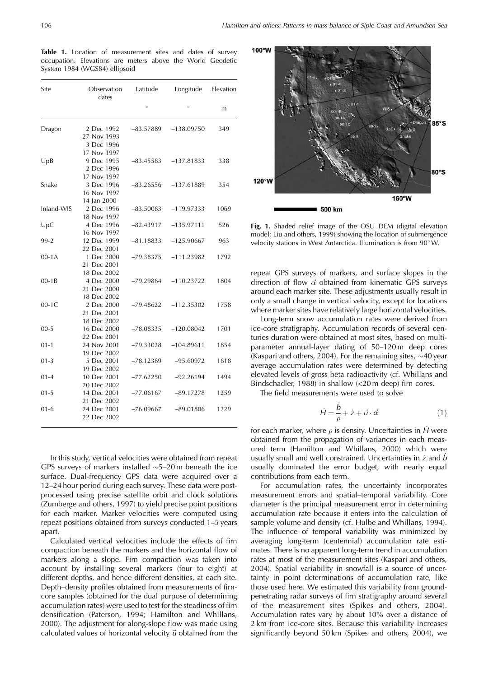|  |                               |  | <b>Table 1.</b> Location of measurement sites and dates of survey |  |  |  |
|--|-------------------------------|--|-------------------------------------------------------------------|--|--|--|
|  |                               |  | occupation. Elevations are meters above the World Geodetic        |  |  |  |
|  | System 1984 (WGS84) ellipsoid |  |                                                                   |  |  |  |

| Site       | Observation<br>dates                                    | Latitude    | Longitude    | Elevation |  |
|------------|---------------------------------------------------------|-------------|--------------|-----------|--|
|            |                                                         | $\circ$     | $\circ$      | m         |  |
| Dragon     | 2 Dec 1992<br>27 Nov 1993                               | $-83.57889$ | $-138.09750$ | 349       |  |
|            | 3 Dec 1996<br>17 Nov 1997                               |             |              |           |  |
| UpB        | 9 Dec 1995<br>2 Dec 1996                                | $-83.45583$ | –137.81833   | 338       |  |
|            | 17 Nov 1997                                             |             |              |           |  |
| Snake      | 3 Dec 1996<br>16 Nov 1997                               | $-83.26556$ | $-137.61889$ | 354       |  |
| Inland-WIS | 14 Jan 2000<br>2 Dec 1996<br>18 Nov 1997                | $-83.50083$ | $-119.97333$ | 1069      |  |
| UpC        | 4 Dec 1996<br>16 Nov 1997                               | $-82.43917$ | $-135.97111$ | 526       |  |
| 99-2       | 12 Dec 1999<br>22 Dec 2001                              | $-81.18833$ | $-125.90667$ | 963       |  |
| $00-1A$    | 1 Dec 2000<br>21 Dec 2001                               | $-79.38375$ | $-111.23982$ | 1792      |  |
| $00-1B$    | 18 Dec 2002<br>4 Dec 2000<br>21 Dec 2000<br>18 Dec 2002 | –79.29864   | $-110.23722$ | 1804      |  |
| $00-1C$    | 2 Dec 2000<br>21 Dec 2001<br>18 Dec 2002                | $-79.48622$ | $-112.35302$ | 1758      |  |
| $00 - 5$   | 16 Dec 2000<br>22 Dec 2001                              | $-78.08335$ | $-120.08042$ | 1701      |  |
| $01-1$     | 24 Nov 2001<br>19 Dec 2002                              | $-79.33028$ | $-104.89611$ | 1854      |  |
| $01 - 3$   | 5 Dec 2001<br>19 Dec 2002                               | $-78.12389$ | $-95.60972$  | 1618      |  |
| $01 - 4$   | 10 Dec 2001<br>20 Dec 2002                              | $-77.62250$ | $-92.26194$  | 1494      |  |
| $01 - 5$   | 14 Dec 2001<br>21 Dec 2002                              | $-77.06167$ | $-89.17278$  | 1259      |  |
| $01 - 6$   | 24 Dec 2001<br>22 Dec 2002                              | $-76.09667$ | $-89.01806$  | 1229      |  |

In this study, vertical velocities were obtained from repeat GPS surveys of markers installed  $\sim$  5–20 m beneath the ice surface. Dual-frequency GPS data were acquired over a 12–24 hour period during each survey. These data were postprocessed using precise satellite orbit and clock solutions (Zumberge and others, 1997) to yield precise point positions for each marker. Marker velocities were computed using repeat positions obtained from surveys conducted 1-5 years apart.

Calculated vertical velocities include the effects of firn compaction beneath the markers and the horizontal flow of markers along a slope. Firn compaction was taken into account by installing several markers (four to eight) at different depths, and hence different densities, at each site. Depth-density profiles obtained from measurements of firncore samples (obtained for the dual purpose of determining accumulation rates) were used to test for the steadiness of firn densification (Paterson, 1994; Hamilton and Whillans, 2000). The adjustment for along-slope flow was made using calculated values of horizontal velocity  $\vec{u}$  obtained from the



Fig. 1. Shaded relief image of the OSU DEM (digital elevation model; Liu and others, 1999) showing the location of submergence velocity stations in West Antarctica. Illumination is from 90°W.

repeat GPS surveys of markers, and surface slopes in the direction of flow  $\vec{\alpha}$  obtained from kinematic GPS surveys around each marker site. These adjustments usually result in only a small change in vertical velocity, except for locations where marker sites have relatively large horizontal velocities.

Long-term snow accumulation rates were derived from ice-core stratigraphy. Accumulation records of several centuries duration were obtained at most sites, based on multiparameter annual-layer dating of 50-120m deep cores (Kaspari and others, 2004). For the remaining sites,  $\sim$ 40 year average accumulation rates were determined by detecting elevated levels of gross beta radioactivity (cf. Whillans and Bindschadler, 1988) in shallow (<20 m deep) firn cores.

The field measurements were used to solve

$$
\dot{H} = \frac{b}{\rho} + \dot{z} + \vec{u} \cdot \vec{\alpha} \tag{1}
$$

for each marker, where  $\rho$  is density. Uncertainties in  $\dot{H}$  were obtained from the propagation of variances in each measured term (Hamilton and Whillans, 2000) which were usually small and well constrained. Uncertainties in  $\dot{z}$  and  $\dot{b}$ usually dominated the error budget, with nearly equal contributions from each term.

For accumulation rates, the uncertainty incorporates measurement errors and spatial-temporal variability. Core diameter is the principal measurement error in determining accumulation rate because it enters into the calculation of sample volume and density (cf. Hulbe and Whillans, 1994). The influence of temporal variability was minimized by averaging long-term (centennial) accumulation rate estimates. There is no apparent long-term trend in accumulation rates at most of the measurement sites (Kaspari and others, 2004). Spatial variability in snowfall is a source of uncertainty in point determinations of accumulation rate, like those used here. We estimated this variability from groundpenetrating radar surveys of firn stratigraphy around several of the measurement sites (Spikes and others, 2004). Accumulation rates vary by about 10% over a distance of 2 km from ice-core sites. Because this variability increases significantly beyond 50 km (Spikes and others, 2004), we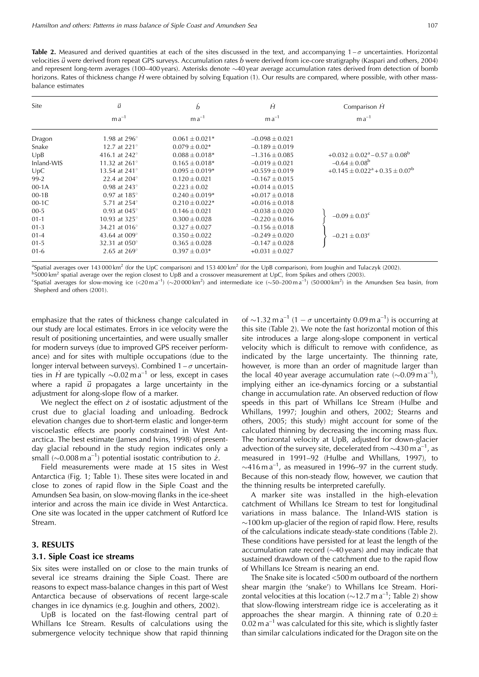Table 2. Measured and derived quantities at each of the sites discussed in the text, and accompanying  $1-\sigma$  uncertainties. Horizontal velocities ū were derived from repeat GPS surveys. Accumulation rates b were derived from ice-core stratigraphy (Kaspari and others, 2004) and represent long-term averages (100-400 years). Asterisks denote  $\sim$ 40 year average accumulation rates derived from detection of bomb horizons. Rates of thickness change H were obtained by solving Equation (1). Our results are compared, where possible, with other massbalance estimates

| Site       | ū                       | $\dot{b}$          | Ĥ                  | Comparison H                                       |
|------------|-------------------------|--------------------|--------------------|----------------------------------------------------|
|            | $ma^{-1}$               | $ma^{-1}$          | $ma^{-1}$          | $ma^{-1}$                                          |
| Dragon     | 1.98 at 296°            | $0.061 \pm 0.021*$ | $-0.098 \pm 0.021$ |                                                    |
| Snake      | 12.7 at 221°            | $0.079 \pm 0.02*$  | $-0.189 \pm 0.019$ |                                                    |
| UpB        | 416.1 at 242 $^{\circ}$ | $0.088 \pm 0.018*$ | $-1.316 \pm 0.085$ | $+0.032 \pm 0.02^{\rm a} - 0.57 \pm 0.08^{\rm b}$  |
| Inland-WIS | 11.32 at 261 $^{\circ}$ | $0.165 \pm 0.018*$ | $-0.019 \pm 0.021$ | $-0.64 \pm 0.08^{\rm b}$                           |
| UpC        | 13.54 at 241°           | $0.095 \pm 0.019*$ | $+0.559 \pm 0.019$ | $+0.145 \pm 0.022^{\rm a} + 0.35 \pm 0.07^{\rm b}$ |
| 99-2       | 22.4 at 204°            | $0.120 \pm 0.021$  | $-0.167 \pm 0.015$ |                                                    |
| $00-1A$    | 0.98 at 243 $^{\circ}$  | $0.223 \pm 0.02$   | $+0.014 \pm 0.015$ |                                                    |
| $00-1B$    | $0.97$ at $185^{\circ}$ | $0.240 \pm 0.019*$ | $+0.017 \pm 0.018$ |                                                    |
| $00-1C$    | 5.71 at 254°            | $0.210 + 0.022*$   | $+0.016 \pm 0.018$ |                                                    |
| $00 - 5$   | 0.93 at $0.45^{\circ}$  | $0.146 \pm 0.021$  | $-0.038 \pm 0.020$ |                                                    |
| $01 - 1$   | 10.93 at $325^{\circ}$  | $0.300 \pm 0.028$  | $-0.220 \pm 0.016$ | $-0.09 \pm 0.03$ <sup>c</sup>                      |
| $01 - 3$   | 34.21 at 016°           | $0.327 \pm 0.027$  | $-0.156 \pm 0.018$ |                                                    |
| $01 - 4$   | 43.64 at 009°           | $0.350 \pm 0.022$  | $-0.249 \pm 0.020$ | $-0.21 \pm 0.03$ <sup>c</sup>                      |
| $01 - 5$   | 32.31 at 050°           | $0.365 \pm 0.028$  | $-0.147 \pm 0.028$ |                                                    |
| $01 - 6$   | 2.65 at 269 $^{\circ}$  | $0.397 \pm 0.03*$  | $+0.031 \pm 0.027$ |                                                    |

<sup>a</sup>Spatial averages over 143 000 km<sup>2</sup> (for the UpC comparison) and 153 400 km<sup>2</sup> (for the UpB comparison), from Joughin and Tulaczyk (2002).

 $b$ 5000 km<sup>2</sup> spatial average over the region closest to UpB and a crossover measurement at UpC, from Spikes and others (2003).

"Spatial averages for slow-moving ice (<20 ma<sup>-1</sup>) (~20 000 km<sup>2</sup>) and intermediate ice (~50-200 ma<sup>-1</sup>) (50 000 km<sup>2</sup>) in the Amundsen Sea basin, from Shepherd and others (2001).

emphasize that the rates of thickness change calculated in our study are local estimates. Errors in ice velocity were the result of positioning uncertainties, and were usually smaller for modern surveys (due to improved GPS receiver performance) and for sites with multiple occupations (due to the longer interval between surveys). Combined  $1 - \sigma$  uncertainties in  $\dot{H}$  are typically  $\sim 0.02$  m a<sup>-1</sup> or less, except in cases where a rapid  $\vec{u}$  propagates a large uncertainty in the adjustment for along-slope flow of a marker.

We neglect the effect on  $\dot{z}$  of isostatic adjustment of the crust due to glacial loading and unloading. Bedrock elevation changes due to short-term elastic and longer-term viscoelastic effects are poorly constrained in West Antarctica. The best estimate (James and Ivins, 1998) of presentday glacial rebound in the study region indicates only a small ( $\sim$ 0.008 m a<sup>-1</sup>) potential isostatic contribution to  $\dot{z}$ .

Field measurements were made at 15 sites in West Antarctica (Fig. 1; Table 1). These sites were located in and close to zones of rapid flow in the Siple Coast and the Amundsen Sea basin, on slow-moving flanks in the ice-sheet interior and across the main ice divide in West Antarctica. One site was located in the upper catchment of Rutford Ice Stream.

#### 3. RESULTS

#### 3.1. Siple Coast ice streams

Six sites were installed on or close to the main trunks of several ice streams draining the Siple Coast. There are reasons to expect mass-balance changes in this part of West Antarctica because of observations of recent large-scale changes in ice dynamics (e.g. Joughin and others, 2002).

UpB is located on the fast-flowing central part of Whillans Ice Stream. Results of calculations using the submergence velocity technique show that rapid thinning of  $\sim$ 1.32 m a<sup>-1</sup> (1 –  $\sigma$  uncertainty 0.09 m a<sup>-1</sup>) is occurring at this site (Table 2). We note the fast horizontal motion of this site introduces a large along-slope component in vertical velocity which is difficult to remove with confidence, as indicated by the large uncertainty. The thinning rate, however, is more than an order of magnitude larger than the local 40 year average accumulation rate  $(\sim 0.09 \text{ m a}^{-1})$ , implying either an ice-dynamics forcing or a substantial change in accumulation rate. An observed reduction of flow speeds in this part of Whillans Ice Stream (Hulbe and Whillans, 1997; Joughin and others, 2002; Stearns and others, 2005; this study) might account for some of the calculated thinning by decreasing the incoming mass flux. The horizontal velocity at UpB, adjusted for down-glacier advection of the survey site, decelerated from  $\sim$ 430 m a<sup>-1</sup>, as measured in 1991-92 (Hulbe and Whillans, 1997), to  $\sim$ 416 m a<sup>-1</sup>, as measured in 1996–97 in the current study. Because of this non-steady flow, however, we caution that the thinning results be interpreted carefully.

A marker site was installed in the high-elevation catchment of Whillans Ice Stream to test for longitudinal variations in mass balance. The Inland-WIS station is  $\sim$ 100 km up-glacier of the region of rapid flow. Here, results of the calculations indicate steady-state conditions (Table 2). These conditions have persisted for at least the length of the accumulation rate record ( $\sim$ 40 years) and may indicate that sustained drawdown of the catchment due to the rapid flow of Whillans Ice Stream is nearing an end.

The Snake site is located <500 m outboard of the northern shear margin (the 'snake') to Whillans Ice Stream. Horizontal velocities at this location ( $\sim$ 12.7 m a<sup>-1</sup>; Table 2) show that slow-flowing interstream ridge ice is accelerating as it approaches the shear margin. A thinning rate of  $0.20 \pm$  $0.02$  m a<sup>-1</sup> was calculated for this site, which is slightly faster than similar calculations indicated for the Dragon site on the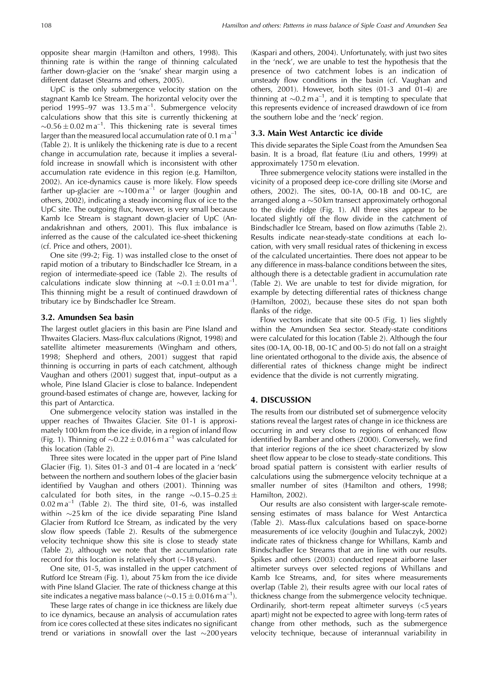opposite shear margin (Hamilton and others, 1998). This thinning rate is within the range of thinning calculated farther down-glacier on the 'snake' shear margin using a different dataset (Stearns and others, 2005).

UpC is the only submergence velocity station on the stagnant Kamb Ice Stream. The horizontal velocity over the period 1995–97 was 13.5 m  $a^{-1}$ . Submergence velocity calculations show that this site is currently thickening at  $\sim 0.56 \pm 0.02$  m a<sup>-1</sup>. This thickening rate is several times larger than the measured local accumulation rate of 0.1 m  $a^{-1}$ (Table 2). It is unlikely the thickening rate is due to a recent change in accumulation rate, because it implies a severalfold increase in snowfall which is inconsistent with other accumulation rate evidence in this region (e.g. Hamilton, 2002). An ice-dynamics cause is more likely. Flow speeds farther up-glacier are  $\sim 100 \text{ m a}^{-1}$  or larger (Joughin and others, 2002), indicating a steady incoming flux of ice to the UpC site. The outgoing flux, however, is very small because Kamb Ice Stream is stagnant down-glacier of UpC (Anandakrishnan and others, 2001). This flux imbalance is inferred as the cause of the calculated ice-sheet thickening (cf. Price and others, 2001).

One site (99-2; Fig. 1) was installed close to the onset of rapid motion of a tributary to Bindschadler Ice Stream, in a region of intermediate-speed ice (Table 2). The results of calculations indicate slow thinning at  $\sim 0.1 \pm 0.01$  m a<sup>-1</sup>. This thinning might be a result of continued drawdown of tributary ice by Bindschadler Ice Stream.

#### 3.2. Amundsen Sea basin

The largest outlet glaciers in this basin are Pine Island and Thwaites Glaciers. Mass-flux calculations (Rignot, 1998) and satellite altimeter measurements (Wingham and others, 1998; Shepherd and others, 2001) suggest that rapid thinning is occurring in parts of each catchment, although Vaughan and others (2001) suggest that, input-output as a whole, Pine Island Glacier is close to balance. Independent ground-based estimates of change are, however, lacking for this part of Antarctica.

One submergence velocity station was installed in the upper reaches of Thwaites Glacier. Site 01-1 is approximately 100 km from the ice divide, in a region of inland flow (Fig. 1). Thinning of  $\sim 0.22 \pm 0.016$  m a<sup>-1</sup> was calculated for this location (Table 2).

Three sites were located in the upper part of Pine Island Glacier (Fig. 1). Sites 01-3 and 01-4 are located in a 'neck' between the northern and southern lobes of the glacier basin identified by Vaughan and others (2001). Thinning was calculated for both sites, in the range  $\sim 0.15 - 0.25 \pm 0.15$  $0.02 \text{ m a}^{-1}$  (Table 2). The third site, 01-6, was installed within  $\sim$ 25 km of the ice divide separating Pine Island Glacier from Rutford Ice Stream, as indicated by the very slow flow speeds (Table 2). Results of the submergence velocity technique show this site is close to steady state (Table 2), although we note that the accumulation rate record for this location is relatively short  $(\sim 18$  years).

One site, 01-5, was installed in the upper catchment of Rutford Ice Stream (Fig. 1), about 75 km from the ice divide with Pine Island Glacier. The rate of thickness change at this site indicates a negative mass balance ( $\sim$ 0.15  $\pm$  0.016 m a<sup>-1</sup>).

These large rates of change in ice thickness are likely due to ice dynamics, because an analysis of accumulation rates from ice cores collected at these sites indicates no significant trend or variations in snowfall over the last  $\sim$ 200 years

(Kaspari and others, 2004). Unfortunately, with just two sites in the 'neck', we are unable to test the hypothesis that the presence of two catchment lobes is an indication of unsteady flow conditions in the basin (cf. Vaughan and others, 2001). However, both sites (01-3 and 01-4) are thinning at  $\sim 0.2$  m a<sup>-1</sup>, and it is tempting to speculate that this represents evidence of increased drawdown of ice from the southern lobe and the 'neck' region.

# 3.3. Main West Antarctic ice divide

This divide separates the Siple Coast from the Amundsen Sea basin. It is a broad, flat feature (Liu and others, 1999) at approximately 1750 m elevation.

Three submergence velocity stations were installed in the vicinity of a proposed deep ice-core drilling site (Morse and others, 2002). The sites, 00-1A, 00-1B and 00-1C, are arranged along a  $\sim$  50 km transect approximately orthogonal to the divide ridge (Fig. 1). All three sites appear to be located slightly off the flow divide in the catchment of Bindschadler Ice Stream, based on flow azimuths (Table 2). Results indicate near-steady-state conditions at each location, with very small residual rates of thickening in excess of the calculated uncertainties. There does not appear to be any difference in mass-balance conditions between the sites. although there is a detectable gradient in accumulation rate (Table 2). We are unable to test for divide migration, for example by detecting differential rates of thickness change (Hamilton, 2002), because these sites do not span both flanks of the ridge.

Flow vectors indicate that site 00-5 (Fig. 1) lies slightly within the Amundsen Sea sector. Steady-state conditions were calculated for this location (Table 2). Although the four sites (00-1A, 00-1B, 00-1C and 00-5) do not fall on a straight line orientated orthogonal to the divide axis, the absence of differential rates of thickness change might be indirect evidence that the divide is not currently migrating.

# **4. DISCUSSION**

The results from our distributed set of submergence velocity stations reveal the largest rates of change in ice thickness are occurring in and very close to regions of enhanced flow identified by Bamber and others (2000). Conversely, we find that interior regions of the ice sheet characterized by slow sheet flow appear to be close to steady-state conditions. This broad spatial pattern is consistent with earlier results of calculations using the submergence velocity technique at a smaller number of sites (Hamilton and others, 1998; Hamilton, 2002).

Our results are also consistent with larger-scale remotesensing estimates of mass balance for West Antarctica (Table 2). Mass-flux calculations based on space-borne measurements of ice velocity (Joughin and Tulaczyk, 2002) indicate rates of thickness change for Whillans, Kamb and Bindschadler Ice Streams that are in line with our results. Spikes and others (2003) conducted repeat airborne laser altimeter surveys over selected regions of Whillans and Kamb Ice Streams, and, for sites where measurements overlap (Table 2), their results agree with our local rates of thickness change from the submergence velocity technique. Ordinarily, short-term repeat altimeter surveys (<5 years apart) might not be expected to agree with long-term rates of change from other methods, such as the submergence velocity technique, because of interannual variability in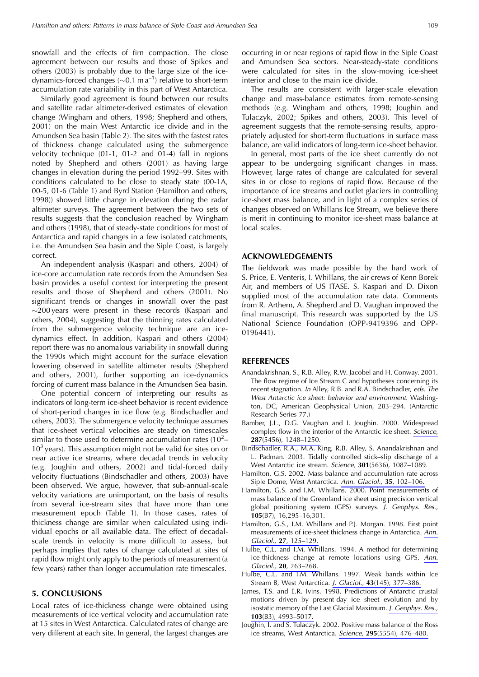snowfall and the effects of firn compaction. The close agreement between our results and those of Spikes and others (2003) is probably due to the large size of the icedynamics-forced changes ( $\sim$ 0.1 m a<sup>-1</sup>) relative to short-term accumulation rate variability in this part of West Antarctica.

Similarly good agreement is found between our results and satellite radar altimeter-derived estimates of elevation change (Wingham and others, 1998; Shepherd and others, 2001) on the main West Antarctic ice divide and in the Amundsen Sea basin (Table 2). The sites with the fastest rates of thickness change calculated using the submergence velocity technique (01-1, 01-2 and 01-4) fall in regions noted by Shepherd and others (2001) as having large changes in elevation during the period 1992–99. Sites with conditions calculated to be close to steady state (00-1A, 00-5, 01-6 (Table 1) and Byrd Station (Hamilton and others, 1998)) showed little change in elevation during the radar altimeter surveys. The agreement between the two sets of results suggests that the conclusion reached by Wingham and others (1998), that of steady-state conditions for most of Antarctica and rapid changes in a few isolated catchments, i.e. the Amundsen Sea basin and the Siple Coast, is largely correct.

An independent analysis (Kaspari and others, 2004) of ice-core accumulation rate records from the Amundsen Sea basin provides a useful context for interpreting the present results and those of Shepherd and others (2001). No significant trends or changes in snowfall over the past  $\sim$ 200 years were present in these records (Kaspari and others, 2004), suggesting that the thinning rates calculated from the submergence velocity technique are an icedynamics effect. In addition, Kaspari and others (2004) report there was no anomalous variability in snowfall during the 1990s which might account for the surface elevation lowering observed in satellite altimeter results (Shepherd and others, 2001), further supporting an ice-dynamics forcing of current mass balance in the Amundsen Sea basin.

One potential concern of interpreting our results as indicators of long-term ice-sheet behavior is recent evidence of short-period changes in ice flow (e.g. Bindschadler and others, 2003). The submergence velocity technique assumes that ice-sheet vertical velocities are steady on timescales similar to those used to determine accumulation rates  $(10^2 10<sup>3</sup>$  years). This assumption might not be valid for sites on or near active ice streams, where decadal trends in velocity (e.g. Joughin and others, 2002) and tidal-forced daily velocity fluctuations (Bindschadler and others, 2003) have been observed. We argue, however, that sub-annual-scale velocity variations are unimportant, on the basis of results from several ice-stream sites that have more than one measurement epoch (Table 1). In those cases, rates of thickness change are similar when calculated using individual epochs or all available data. The effect of decadalscale trends in velocity is more difficult to assess, but perhaps implies that rates of change calculated at sites of rapid flow might only apply to the periods of measurement (a few years) rather than longer accumulation rate timescales.

# **5. CONCLUSIONS**

Local rates of ice-thickness change were obtained using measurements of ice vertical velocity and accumulation rate at 15 sites in West Antarctica. Calculated rates of change are very different at each site. In general, the largest changes are occurring in or near regions of rapid flow in the Siple Coast and Amundsen Sea sectors. Near-steady-state conditions were calculated for sites in the slow-moving ice-sheet interior and close to the main ice divide.

The results are consistent with larger-scale elevation change and mass-balance estimates from remote-sensing methods (e.g. Wingham and others, 1998; Joughin and Tulaczyk, 2002; Spikes and others, 2003). This level of agreement suggests that the remote-sensing results, appropriately adjusted for short-term fluctuations in surface mass balance, are valid indicators of long-term ice-sheet behavior.

In general, most parts of the ice sheet currently do not appear to be undergoing significant changes in mass. However, large rates of change are calculated for several sites in or close to regions of rapid flow. Because of the importance of ice streams and outlet glaciers in controlling ice-sheet mass balance, and in light of a complex series of changes observed on Whillans Ice Stream, we believe there is merit in continuing to monitor ice-sheet mass balance at local scales.

#### **ACKNOWLEDGEMENTS**

The fieldwork was made possible by the hard work of S. Price, E. Venteris, I. Whillans, the air crews of Kenn Borek Air, and members of US ITASE. S. Kaspari and D. Dixon supplied most of the accumulation rate data. Comments from R. Arthern, A. Shepherd and D. Vaughan improved the final manuscript. This research was supported by the US National Science Foundation (OPP-9419396 and OPP- $0196441$ .

#### **REFERENCES**

- Anandakrishnan, S., R.B. Alley, R.W. Jacobel and H. Conway. 2001. The flow regime of Ice Stream C and hypotheses concerning its recent stagnation. In Alley, R.B. and R.A. Bindschadler, eds. The West Antarctic ice sheet: behavior and environment. Washington, DC, American Geophysical Union, 283-294. (Antarctic Research Series 77.)
- Bamber, J.L., D.G. Vaughan and I. Joughin. 2000. Widespread complex flow in the interior of the Antarctic ice sheet. Science, 287(5456), 1248-1250.
- Bindschadler, R.A., M.A. King, R.B. Alley, S. Anandakrishnan and L. Padman. 2003. Tidally controlled stick-slip discharge of a West Antarctic ice stream. Science, 301(5636), 1087-1089.
- Hamilton, G.S. 2002. Mass balance and accumulation rate across Siple Dome, West Antarctica. Ann. Glaciol., 35, 102-106.
- Hamilton, G.S. and I.M. Whillans. 2000. Point measurements of mass balance of the Greenland ice sheet using precision vertical global positioning system (GPS) surveys. J. Geophys. Res.,  $105(B7)$ , 16,295-16,301.
- Hamilton, G.S., I.M. Whillans and P.J. Morgan. 1998. First point measurements of ice-sheet thickness change in Antarctica. Ann. Glaciol., 27, 125-129.
- Hulbe, C.L. and I.M. Whillans. 1994. A method for determining ice-thickness change at remote locations using GPS. Ann. Glaciol., 20, 263-268.
- Hulbe, C.L. and I.M. Whillans. 1997. Weak bands within Ice Stream B, West Antarctica. J. Glaciol., 43(145), 377-386.
- James, T.S. and E.R. Ivins. 1998. Predictions of Antarctic crustal motions driven by present-day ice sheet evolution and by isostatic memory of the Last Glacial Maximum. J. Geophys. Res., 103(B3), 4993-5017.
- Joughin, I. and S. Tulaczyk. 2002. Positive mass balance of the Ross ice streams, West Antarctica. Science, 295(5554), 476-480.